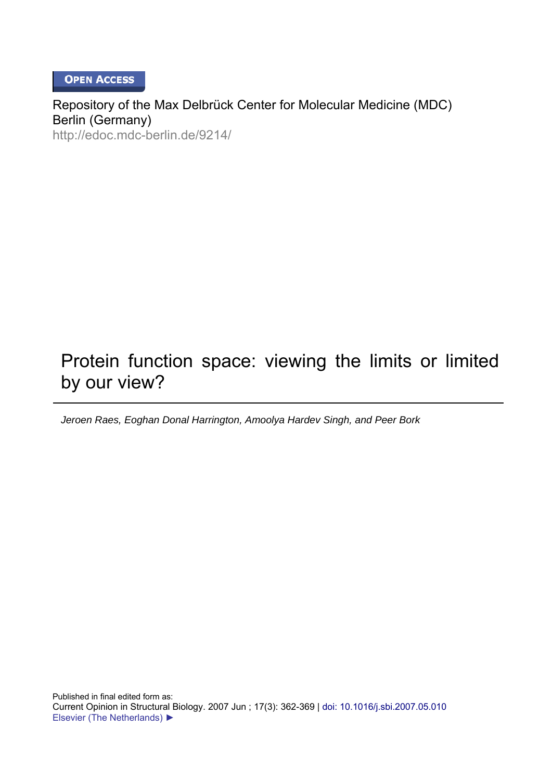**OPEN ACCESS** 

Repository of the Max Delbrück Center for Molecular Medicine (MDC) Berlin (Germany) http://edoc.mdc-berlin.de/9214/

# Protein function space: viewing the limits or limited by our view?

*Jeroen Raes, Eoghan Donal Harrington, Amoolya Hardev Singh, and Peer Bork*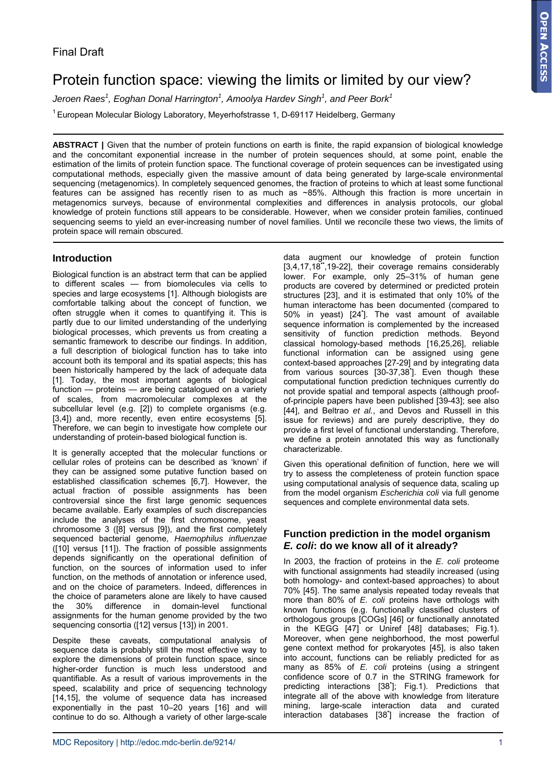## Protein function space: viewing the limits or limited by our view?

 $J$ eroen Raes $^1$ , Eoghan Donal Harrington $^1$ , Amoolya Hardev Singh $^1$ , and Peer Bork $^1$ 

<sup>1</sup> European Molecular Biology Laboratory, Meyerhofstrasse 1, D-69117 Heidelberg, Germany

**ABSTRACT |** Given that the number of protein functions on earth is finite, the rapid expansion of biological knowledge and the concomitant exponential increase in the number of protein sequences should, at some point, enable the estimation of the limits of protein function space. The functional coverage of protein sequences can be investigated using computational methods, especially given the massive amount of data being generated by large-scale environmental sequencing (metagenomics). In completely sequenced genomes, the fraction of proteins to which at least some functional features can be assigned has recently risen to as much as ~85%. Although this fraction is more uncertain in metagenomics surveys, because of environmental complexities and differences in analysis protocols, our global knowledge of protein functions still appears to be considerable. However, when we consider protein families, continued sequencing seems to yield an ever-increasing number of novel families. Until we reconcile these two views, the limits of protein space will remain obscured.

### **Introduction**

Biological function is an abstract term that can be applied to different scales — from biomolecules via cells to species and large ecosystems [1]. Although biologists are comfortable talking about the concept of function, we often struggle when it comes to quantifying it. This is partly due to our limited understanding of the underlying biological processes, which prevents us from creating a semantic framework to describe our findings. In addition, a full description of biological function has to take into account both its temporal and its spatial aspects; this has been historically hampered by the lack of adequate data [1]. Today, the most important agents of biological function — proteins — are being catalogued on a variety of scales, from macromolecular complexes at the subcellular level (e.g. [2]) to complete organisms (e.g. [3,4]) and, more recently, even entire ecosystems [5]. Therefore, we can begin to investigate how complete our understanding of protein-based biological function is.

It is generally accepted that the molecular functions or cellular roles of proteins can be described as 'known' if they can be assigned some putative function based on established classification schemes [6,7]. However, the actual fraction of possible assignments has been controversial since the first large genomic sequences became available. Early examples of such discrepancies include the analyses of the first chromosome, yeast chromosome 3 ([8] versus [9]), and the first completely sequenced bacterial genome, *Haemophilus influenzae* ([10] versus [11]). The fraction of possible assignments depends significantly on the operational definition of function, on the sources of information used to infer function, on the methods of annotation or inference used, and on the choice of parameters. Indeed, differences in the choice of parameters alone are likely to have caused the 30% difference in domain-level functional assignments for the human genome provided by the two sequencing consortia ([12] versus [13]) in 2001.

Despite these caveats, computational analysis of sequence data is probably still the most effective way to explore the dimensions of protein function space, since higher-order function is much less understood and quantifiable. As a result of various improvements in the speed, scalability and price of sequencing technology [14,15], the volume of sequence data has increased exponentially in the past 10–20 years [16] and will continue to do so. Although a variety of other large-scale

data augment our knowledge of protein function [3,4,17,18",19-22], their coverage remains considerably lower. For example, only 25–31% of human gene products are covered by determined or predicted protein structures [23], and it is estimated that only 10% of the human interactome has been documented (compared to 50% in yeast) [24• ]. The vast amount of available sequence information is complemented by the increased sensitivity of function prediction methods. Beyond classical homology-based methods [16,25,26], reliable functional information can be assigned using gene context-based approaches [27-29] and by integrating data from various sources [30-37,38• ]. Even though these computational function prediction techniques currently do not provide spatial and temporal aspects (although proofof-principle papers have been published [39-43]; see also [44], and Beltrao *et al.*, and Devos and Russell in this issue for reviews) and are purely descriptive, they do provide a first level of functional understanding. Therefore, we define a protein annotated this way as functionally characterizable.

Given this operational definition of function, here we will try to assess the completeness of protein function space using computational analysis of sequence data, scaling up from the model organism *Escherichia coli* via full genome sequences and complete environmental data sets.

#### **Function prediction in the model organism**  *E. coli***: do we know all of it already?**

In 2003, the fraction of proteins in the *E. coli* proteome with functional assignments had steadily increased (using both homology- and context-based approaches) to about 70% [45]. The same analysis repeated today reveals that more than 80% of *E. coli* proteins have orthologs with known functions (e.g. functionally classified clusters of orthologous groups [COGs] [46] or functionally annotated in the KEGG [47] or Uniref [48] databases; Fig.1). Moreover, when gene neighborhood, the most powerful gene context method for prokaryotes [45], is also taken into account, functions can be reliably predicted for as many as 85% of *E. coli* proteins (using a stringent confidence score of 0.7 in the STRING framework for predicting interactions [38<sup>\*</sup>]; Fig.1). Predictions that integrate all of the above with knowledge from literature mining, large-scale interaction data and curated interaction databases [38• ] increase the fraction of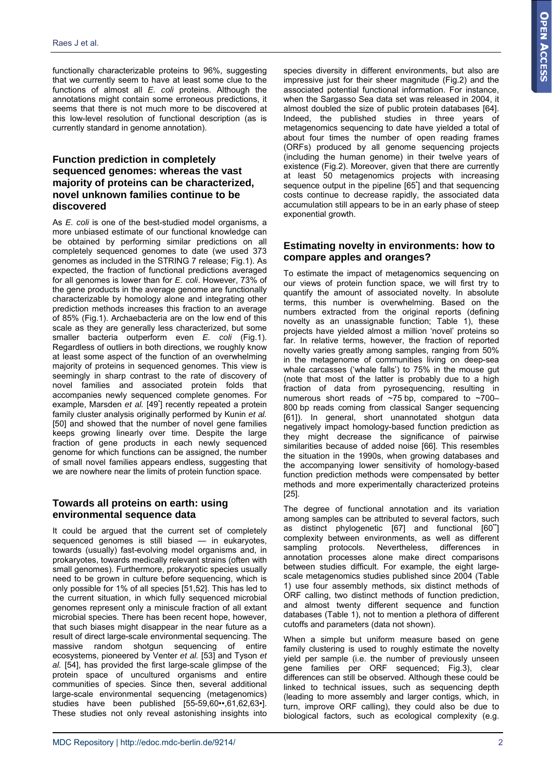functionally characterizable proteins to 96%, suggesting that we currently seem to have at least some clue to the functions of almost all *E. coli* proteins. Although the annotations might contain some erroneous predictions, it seems that there is not much more to be discovered at this low-level resolution of functional description (as is currently standard in genome annotation).

#### **Function prediction in completely sequenced genomes: whereas the vast majority of proteins can be characterized, novel unknown families continue to be discovered**

As *E. coli* is one of the best-studied model organisms, a more unbiased estimate of our functional knowledge can be obtained by performing similar predictions on all completely sequenced genomes to date (we used 373 genomes as included in the STRING 7 release; Fig.1). As expected, the fraction of functional predictions averaged for all genomes is lower than for *E. coli*. However, 73% of the gene products in the average genome are functionally characterizable by homology alone and integrating other prediction methods increases this fraction to an average of 85% (Fig.1). Archaebacteria are on the low end of this scale as they are generally less characterized, but some smaller bacteria outperform even *E. coli* (Fig.1). Regardless of outliers in both directions, we roughly know at least some aspect of the function of an overwhelming majority of proteins in sequenced genomes. This view is seemingly in sharp contrast to the rate of discovery of novel families and associated protein folds that accompanies newly sequenced complete genomes. For example, Marsden et al. [49<sup>\*</sup>] recently repeated a protein family cluster analysis originally performed by Kunin *et al.* [50] and showed that the number of novel gene families keeps growing linearly over time. Despite the large fraction of gene products in each newly sequenced genome for which functions can be assigned, the number of small novel families appears endless, suggesting that we are nowhere near the limits of protein function space.

#### **Towards all proteins on earth: using environmental sequence data**

It could be argued that the current set of completely sequenced genomes is still biased — in eukaryotes, towards (usually) fast-evolving model organisms and, in prokaryotes, towards medically relevant strains (often with small genomes). Furthermore, prokaryotic species usually need to be grown in culture before sequencing, which is only possible for 1% of all species [51,52]. This has led to the current situation, in which fully sequenced microbial genomes represent only a miniscule fraction of all extant microbial species. There has been recent hope, however, that such biases might disappear in the near future as a result of direct large-scale environmental sequencing. The massive random shotgun sequencing of entire ecosystems, pioneered by Venter *et al.* [53] and Tyson *et al.* [54], has provided the first large-scale glimpse of the protein space of uncultured organisms and entire communities of species. Since then, several additional large-scale environmental sequencing (metagenomics) studies have been published [55-59,60••,61,62,63•]. These studies not only reveal astonishing insights into

species diversity in different environments, but also are impressive just for their sheer magnitude (Fig.2) and the associated potential functional information. For instance, when the Sargasso Sea data set was released in 2004, it almost doubled the size of public protein databases [64]. Indeed, the published studies in three years of metagenomics sequencing to date have yielded a total of about four times the number of open reading frames (ORFs) produced by all genome sequencing projects (including the human genome) in their twelve years of existence (Fig.2). Moreover, given that there are currently at least 50 metagenomics projects with increasing sequence output in the pipeline [65<sup>\*</sup>] and that sequencing costs continue to decrease rapidly, the associated data accumulation still appears to be in an early phase of steep exponential growth.

#### **Estimating novelty in environments: how to compare apples and oranges?**

To estimate the impact of metagenomics sequencing on our views of protein function space, we will first try to quantify the amount of associated novelty. In absolute terms, this number is overwhelming. Based on the numbers extracted from the original reports (defining novelty as an unassignable function; Table 1), these projects have yielded almost a million 'novel' proteins so far. In relative terms, however, the fraction of reported novelty varies greatly among samples, ranging from 50% in the metagenome of communities living on deep-sea whale carcasses ('whale falls') to 75% in the mouse gut (note that most of the latter is probably due to a high fraction of data from pyrosequencing, resulting in numerous short reads of ~75 bp, compared to ~700– 800 bp reads coming from classical Sanger sequencing [61]). In general, short unannotated shotgun data negatively impact homology-based function prediction as they might decrease the significance of pairwise similarities because of added noise [66]. This resembles the situation in the 1990s, when growing databases and the accompanying lower sensitivity of homology-based function prediction methods were compensated by better methods and more experimentally characterized proteins [25].

The degree of functional annotation and its variation among samples can be attributed to several factors, such as distinct phylogenetic [67] and functional [60<sup>\*</sup>] complexity between environments, as well as different sampling protocols. Nevertheless, differences in annotation processes alone make direct comparisons between studies difficult. For example, the eight largescale metagenomics studies published since 2004 (Table 1) use four assembly methods, six distinct methods of ORF calling, two distinct methods of function prediction, and almost twenty different sequence and function databases (Table 1), not to mention a plethora of different cutoffs and parameters (data not shown).

When a simple but uniform measure based on gene family clustering is used to roughly estimate the novelty yield per sample (i.e. the number of previously unseen gene families per ORF sequenced; Fig.3), clear differences can still be observed. Although these could be linked to technical issues, such as sequencing depth (leading to more assembly and larger contigs, which, in turn, improve ORF calling), they could also be due to biological factors, such as ecological complexity (e.g.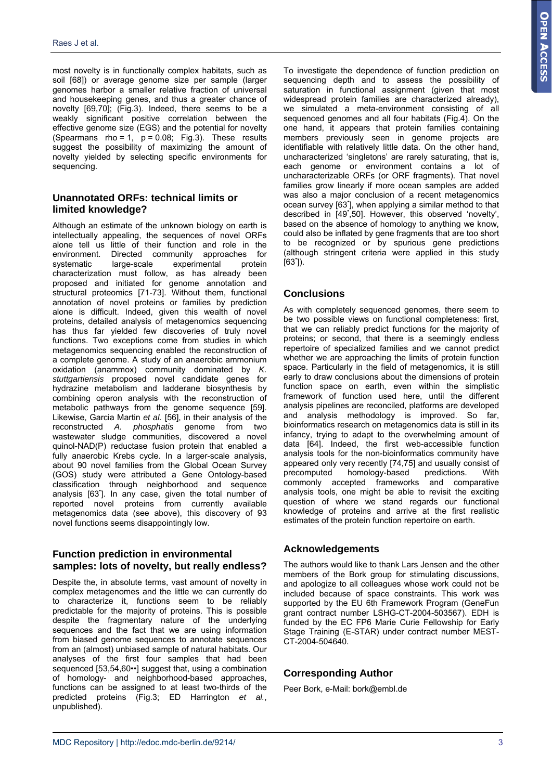most novelty is in functionally complex habitats, such as soil [68]) or average genome size per sample (larger genomes harbor a smaller relative fraction of universal and housekeeping genes, and thus a greater chance of novelty [69,70]; (Fig.3). Indeed, there seems to be a weakly significant positive correlation between the effective genome size (EGS) and the potential for novelty (Spearmans rho = 1,  $p = 0.08$ ; Fig.3). These results suggest the possibility of maximizing the amount of novelty yielded by selecting specific environments for sequencing.

#### **Unannotated ORFs: technical limits or limited knowledge?**

Although an estimate of the unknown biology on earth is intellectually appealing, the sequences of novel ORFs alone tell us little of their function and role in the environment. Directed community approaches for systematic large-scale experimental protein characterization must follow, as has already been proposed and initiated for genome annotation and structural proteomics [71-73]. Without them, functional annotation of novel proteins or families by prediction alone is difficult. Indeed, given this wealth of novel proteins, detailed analysis of metagenomics sequencing has thus far yielded few discoveries of truly novel functions. Two exceptions come from studies in which metagenomics sequencing enabled the reconstruction of a complete genome. A study of an anaerobic ammonium oxidation (anammox) community dominated by *K. stuttgartiensis* proposed novel candidate genes for hydrazine metabolism and ladderane biosynthesis by combining operon analysis with the reconstruction of metabolic pathways from the genome sequence [59]. Likewise, Garcia Martin *et al.* [56], in their analysis of the reconstructed *A. phosphatis* genome from two wastewater sludge communities, discovered a novel quinol-NAD(P) reductase fusion protein that enabled a fully anaerobic Krebs cycle. In a larger-scale analysis, about 90 novel families from the Global Ocean Survey (GOS) study were attributed a Gene Ontology-based classification through neighborhood and sequence analysis [63• ]. In any case, given the total number of reported novel proteins from currently available metagenomics data (see above), this discovery of 93 novel functions seems disappointingly low.

#### **Function prediction in environmental samples: lots of novelty, but really endless?**

Despite the, in absolute terms, vast amount of novelty in complex metagenomes and the little we can currently do to characterize it, functions seem to be reliably predictable for the majority of proteins. This is possible despite the fragmentary nature of the underlying sequences and the fact that we are using information from biased genome sequences to annotate sequences from an (almost) unbiased sample of natural habitats. Our analyses of the first four samples that had been sequenced [53,54,60••] suggest that, using a combination of homology- and neighborhood-based approaches, functions can be assigned to at least two-thirds of the predicted proteins (Fig.3; ED Harrington *et al.*, unpublished).

To investigate the dependence of function prediction on sequencing depth and to assess the possibility of saturation in functional assignment (given that most widespread protein families are characterized already), we simulated a meta-environment consisting of all sequenced genomes and all four habitats (Fig.4). On the one hand, it appears that protein families containing members previously seen in genome projects are identifiable with relatively little data. On the other hand, uncharacterized 'singletons' are rarely saturating, that is, each genome or environment contains a lot of uncharacterizable ORFs (or ORF fragments). That novel families grow linearly if more ocean samples are added was also a major conclusion of a recent metagenomics ocean survey [63• ], when applying a similar method to that described in [49• ,50]. However, this observed 'novelty', based on the absence of homology to anything we know, could also be inflated by gene fragments that are too short to be recognized or by spurious gene predictions (although stringent criteria were applied in this study  $[63$ ]).

#### **Conclusions**

As with completely sequenced genomes, there seem to be two possible views on functional completeness: first, that we can reliably predict functions for the majority of proteins; or second, that there is a seemingly endless repertoire of specialized families and we cannot predict whether we are approaching the limits of protein function space. Particularly in the field of metagenomics, it is still early to draw conclusions about the dimensions of protein function space on earth, even within the simplistic framework of function used here, until the different analysis pipelines are reconciled, platforms are developed and analysis methodology is improved. So far, bioinformatics research on metagenomics data is still in its infancy, trying to adapt to the overwhelming amount of data [64]. Indeed, the first web-accessible function analysis tools for the non-bioinformatics community have appeared only very recently [74,75] and usually consist of precomputed homology-based predictions. With commonly accepted frameworks and comparative analysis tools, one might be able to revisit the exciting question of where we stand regards our functional knowledge of proteins and arrive at the first realistic estimates of the protein function repertoire on earth.

#### **Acknowledgements**

The authors would like to thank Lars Jensen and the other members of the Bork group for stimulating discussions, and apologize to all colleagues whose work could not be included because of space constraints. This work was supported by the EU 6th Framework Program (GeneFun grant contract number LSHG-CT-2004-503567). EDH is funded by the EC FP6 Marie Curie Fellowship for Early Stage Training (E-STAR) under contract number MEST-CT-2004-504640.

#### **Corresponding Author**

Peer Bork, e-Mail: bork@embl.de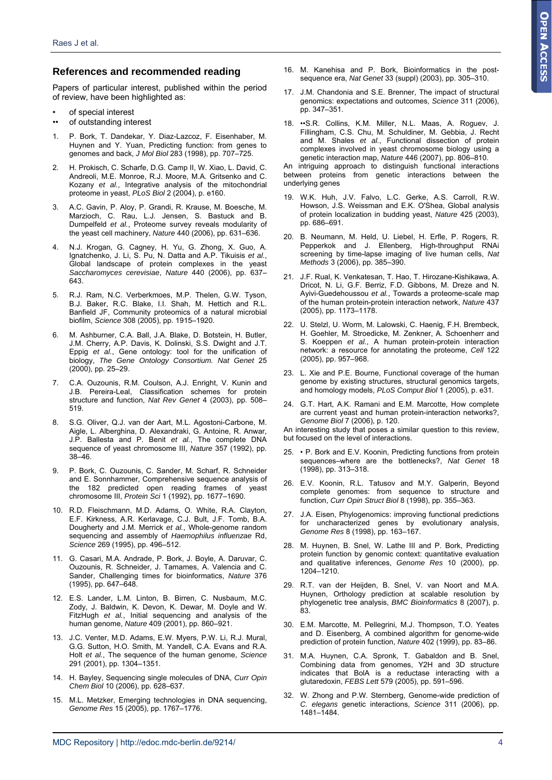#### **References and recommended reading**

Papers of particular interest, published within the period of review, have been highlighted as:

- of special interest
- •• of outstanding interest
- 1. P. Bork, T. Dandekar, Y. Diaz-Lazcoz, F. Eisenhaber, M. Huynen and Y. Yuan, Predicting function: from genes to genomes and back, *J Mol Biol* 283 (1998), pp. 707–725.
- 2. H. Prokisch, C. Scharfe, D.G. Camp II, W. Xiao, L. David, C. Andreoli, M.E. Monroe, R.J. Moore, M.A. Gritsenko and C. Kozany *et al.*, Integrative analysis of the mitochondrial proteome in yeast, *PLoS Biol* 2 (2004), p. e160.
- 3. A.C. Gavin, P. Aloy, P. Grandi, R. Krause, M. Boesche, M. Marzioch, C. Rau, L.J. Jensen, S. Bastuck and B. Dumpelfeld *et al.*, Proteome survey reveals modularity of the yeast cell machinery, *Nature* 440 (2006), pp. 631–636.
- 4. N.J. Krogan, G. Cagney, H. Yu, G. Zhong, X. Guo, A. Ignatchenko, J. Li, S. Pu, N. Datta and A.P. Tikuisis *et al.*, Global landscape of protein complexes in the yeast *Saccharomyces cerevisiae*, *Nature* 440 (2006), pp. 637– 643.
- R.J. Ram, N.C. Verberkmoes, M.P. Thelen, G.W. Tyson, B.J. Baker, R.C. Blake, I.I. Shah, M. Hettich and R.L. Banfield JF, Community proteomics of a natural microbial biofilm, *Science* 308 (2005), pp. 1915–1920.
- 6. M. Ashburner, C.A. Ball, J.A. Blake, D. Botstein, H. Butler, J.M. Cherry, A.P. Davis, K. Dolinski, S.S. Dwight and J.T. Eppig *et al.*, Gene ontology: tool for the unification of biology, *The Gene Ontology Consortium. Nat Genet* 25 (2000), pp. 25–29.
- 7. C.A. Ouzounis, R.M. Coulson, A.J. Enright, V. Kunin and J.B. Pereira-Leal, Classification schemes for protein structure and function, *Nat Rev Genet* 4 (2003), pp. 508– 519.
- 8. S.G. Oliver, Q.J. van der Aart, M.L. Agostoni-Carbone, M. Aigle, L. Alberghina, D. Alexandraki, G. Antoine, R. Anwar, J.P. Ballesta and P. Benit *et al.*, The complete DNA sequence of yeast chromosome III, *Nature* 357 (1992), pp. 38–46.
- 9. P. Bork, C. Ouzounis, C. Sander, M. Scharf, R. Schneider and E. Sonnhammer, Comprehensive sequence analysis of the 182 predicted open reading frames of yeast chromosome III, *Protein Sci* 1 (1992), pp. 1677–1690.
- 10. R.D. Fleischmann, M.D. Adams, O. White, R.A. Clayton, E.F. Kirkness, A.R. Kerlavage, C.J. Bult, J.F. Tomb, B.A. Dougherty and J.M. Merrick *et al.*, Whole-genome random sequencing and assembly of *Haemophilus influenzae* Rd, *Science* 269 (1995), pp. 496–512.
- 11. G. Casari, M.A. Andrade, P. Bork, J. Boyle, A. Daruvar, C. Ouzounis, R. Schneider, J. Tamames, A. Valencia and C. Sander, Challenging times for bioinformatics, *Nature* 376 (1995), pp. 647–648.
- 12. E.S. Lander, L.M. Linton, B. Birren, C. Nusbaum, M.C. Zody, J. Baldwin, K. Devon, K. Dewar, M. Doyle and W. FitzHugh *et al.*, Initial sequencing and analysis of the human genome, *Nature* 409 (2001), pp. 860–921.
- 13. J.C. Venter, M.D. Adams, E.W. Myers, P.W. Li, R.J. Mural, G.G. Sutton, H.O. Smith, M. Yandell, C.A. Evans and R.A. Holt *et al.*, The sequence of the human genome, *Science* 291 (2001), pp. 1304–1351.
- 14. H. Bayley, Sequencing single molecules of DNA, *Curr Opin Chem Biol* 10 (2006), pp. 628–637.
- 15. M.L. Metzker, Emerging technologies in DNA sequencing, *Genome Res* 15 (2005), pp. 1767–1776.
- 16. M. Kanehisa and P. Bork, Bioinformatics in the postsequence era, *Nat Genet* 33 (suppl) (2003), pp. 305–310.
- 17. J.M. Chandonia and S.E. Brenner, The impact of structural genomics: expectations and outcomes, *Science* 311 (2006), pp. 347–351.
- 18. ••S.R. Collins, K.M. Miller, N.L. Maas, A. Roguev, J. Fillingham, C.S. Chu, M. Schuldiner, M. Gebbia, J. Recht and M. Shales *et al.*, Functional dissection of protein complexes involved in yeast chromosome biology using a genetic interaction map, *Nature* 446 (2007), pp. 806–810.

An intriguing approach to distinguish functional interactions between proteins from genetic interactions between the underlying genes

- 19. W.K. Huh, J.V. Falvo, L.C. Gerke, A.S. Carroll, R.W. Howson, J.S. Weissman and E.K. O'Shea, Global analysis of protein localization in budding yeast, *Nature* 425 (2003), pp. 686–691.
- 20. B. Neumann, M. Held, U. Liebel, H. Erfle, P. Rogers, R. Pepperkok and J. Ellenberg, High-throughput RNAi screening by time-lapse imaging of live human cells, *Nat Methods* 3 (2006), pp. 385–390.
- 21. J.F. Rual, K. Venkatesan, T. Hao, T. Hirozane-Kishikawa, A. Dricot, N. Li, G.F. Berriz, F.D. Gibbons, M. Dreze and N. Ayivi-Guedehoussou *et al.*, Towards a proteome-scale map of the human protein-protein interaction network, *Nature* 437 (2005), pp. 1173–1178.
- 22. U. Stelzl, U. Worm, M. Lalowski, C. Haenig, F.H. Brembeck, H. Goehler, M. Stroedicke, M. Zenkner, A. Schoenherr and S. Koeppen *et al.*, A human protein-protein interaction network: a resource for annotating the proteome, *Cell* 122 (2005), pp. 957–968.
- 23. L. Xie and P.E. Bourne, Functional coverage of the human genome by existing structures, structural genomics targets, and homology models, *PLoS Comput Biol* 1 (2005), p. e31.
- 24. G.T. Hart, A.K. Ramani and E.M. Marcotte, How complete are current yeast and human protein-interaction networks?, *Genome Biol* 7 (2006), p. 120.

An interesting study that poses a similar question to this review, but focused on the level of interactions.

- 25. P. Bork and E.V. Koonin, Predicting functions from protein sequences–where are the bottlenecks?, *Nat Genet* 18 (1998), pp. 313–318.
- 26. E.V. Koonin, R.L. Tatusov and M.Y. Galperin, Beyond complete genomes: from sequence to structure and function, *Curr Opin Struct Biol* 8 (1998), pp. 355–363.
- 27. J.A. Eisen, Phylogenomics: improving functional predictions for uncharacterized genes by evolutionary analysis, *Genome Res* 8 (1998), pp. 163–167.
- 28. M. Huynen, B. Snel, W. Lathe III and P. Bork, Predicting protein function by genomic context: quantitative evaluation and qualitative inferences, *Genome Res* 10 (2000), pp. 1204–1210.
- 29. R.T. van der Heijden, B. Snel, V. van Noort and M.A. Huynen, Orthology prediction at scalable resolution by phylogenetic tree analysis, *BMC Bioinformatics* 8 (2007), p. 83.
- 30. E.M. Marcotte, M. Pellegrini, M.J. Thompson, T.O. Yeates and D. Eisenberg, A combined algorithm for genome-wide prediction of protein function, *Nature* 402 (1999), pp. 83–86.
- 31. M.A. Huynen, C.A. Spronk, T. Gabaldon and B. Snel, Combining data from genomes, Y2H and 3D structure indicates that BolA is a reductase interacting with a glutaredoxin, *FEBS Lett* 579 (2005), pp. 591–596.
- 32. W. Zhong and P.W. Sternberg, Genome-wide prediction of *C. elegans* genetic interactions, *Science* 311 (2006), pp. 1481–1484.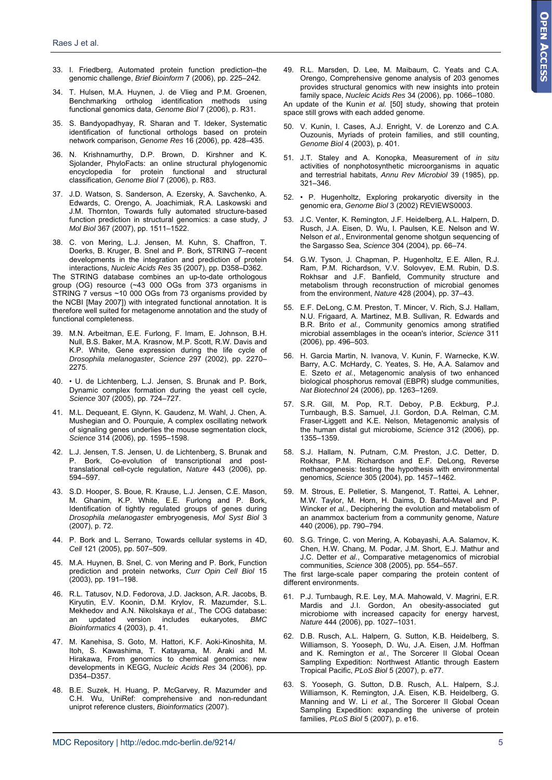- 33. I. Friedberg, Automated protein function prediction–the genomic challenge, *Brief Bioinform* 7 (2006), pp. 225–242.
- 34. T. Hulsen, M.A. Huynen, J. de Vlieg and P.M. Groenen, Benchmarking ortholog identification methods using functional genomics data, *Genome Biol* 7 (2006), p. R31.
- 35. S. Bandyopadhyay, R. Sharan and T. Ideker, Systematic identification of functional orthologs based on protein network comparison, *Genome Res* 16 (2006), pp. 428–435.
- 36. N. Krishnamurthy, D.P. Brown, D. Kirshner and K. Sjolander, PhyloFacts: an online structural phylogenomic encyclopedia for protein functional and structural classification, *Genome Biol* 7 (2006), p. R83.
- 37. J.D. Watson, S. Sanderson, A. Ezersky, A. Savchenko, A. Edwards, C. Orengo, A. Joachimiak, R.A. Laskowski and J.M. Thornton, Towards fully automated structure-based function prediction in structural genomics: a case study, *J Mol Biol* 367 (2007), pp. 1511–1522.
- 38. C. von Mering, L.J. Jensen, M. Kuhn, S. Chaffron, T. Doerks, B. Kruger, B. Snel and P. Bork, STRING 7–recent developments in the integration and prediction of protein interactions, *Nucleic Acids Res* 35 (2007), pp. D358–D362.

The STRING database combines an up-to-date orthologous group (OG) resource (~43 000 OGs from 373 organisms in STRING 7 versus ~10 000 OGs from 73 organisms provided by the NCBI [May 2007]) with integrated functional annotation. It is therefore well suited for metagenome annotation and the study of functional completeness.

- 39. M.N. Arbeitman, E.E. Furlong, F. Imam, E. Johnson, B.H. Null, B.S. Baker, M.A. Krasnow, M.P. Scott, R.W. Davis and K.P. White, Gene expression during the life cycle of *Drosophila melanogaster*, *Science* 297 (2002), pp. 2270– 2275.
- 40. U. de Lichtenberg, L.J. Jensen, S. Brunak and P. Bork, Dynamic complex formation during the yeast cell cycle, *Science* 307 (2005), pp. 724–727.
- 41. M.L. Dequeant, E. Glynn, K. Gaudenz, M. Wahl, J. Chen, A. Mushegian and O. Pourquie, A complex oscillating network of signaling genes underlies the mouse segmentation clock, *Science* 314 (2006), pp. 1595–1598.
- 42. L.J. Jensen, T.S. Jensen, U. de Lichtenberg, S. Brunak and P. Bork, Co-evolution of transcriptional and posttranslational cell-cycle regulation, *Nature* 443 (2006), pp. 594–597.
- 43. S.D. Hooper, S. Boue, R. Krause, L.J. Jensen, C.E. Mason, M. Ghanim, K.P. White, E.E. Furlong and P. Bork, Identification of tightly regulated groups of genes during *Drosophila melanogaster* embryogenesis, *Mol Syst Biol* 3 (2007), p. 72.
- 44. P. Bork and L. Serrano, Towards cellular systems in 4D, *Cell* 121 (2005), pp. 507–509.
- 45. M.A. Huynen, B. Snel, C. von Mering and P. Bork, Function prediction and protein networks, *Curr Opin Cell Biol* 15 (2003), pp. 191–198.
- 46. R.L. Tatusov, N.D. Fedorova, J.D. Jackson, A.R. Jacobs, B. Kiryutin, E.V. Koonin, D.M. Krylov, R. Mazumder, S.L. Mekhedov and A.N. Nikolskaya *et al.*, The COG database: an updated version includes eukaryotes, *BMC Bioinformatics* 4 (2003), p. 41.
- 47. M. Kanehisa, S. Goto, M. Hattori, K.F. Aoki-Kinoshita, M. Itoh, S. Kawashima, T. Katayama, M. Araki and M. Hirakawa, From genomics to chemical genomics: new developments in KEGG, *Nucleic Acids Res* 34 (2006), pp. D354–D357.
- 48. B.E. Suzek, H. Huang, P. McGarvey, R. Mazumder and C.H. Wu, UniRef: comprehensive and non-redundant uniprot reference clusters, *Bioinformatics* (2007).

49. R.L. Marsden, D. Lee, M. Maibaum, C. Yeats and C.A. Orengo, Comprehensive genome analysis of 203 genomes provides structural genomics with new insights into protein family space, *Nucleic Acids Res* 34 (2006), pp. 1066–1080.

An update of the Kunin *et al.* [50] study, showing that protein space still grows with each added genome.

- 50. V. Kunin, I. Cases, A.J. Enright, V. de Lorenzo and C.A. Ouzounis, Myriads of protein families, and still counting, *Genome Biol* 4 (2003), p. 401.
- 51. J.T. Staley and A. Konopka, Measurement of *in situ* activities of nonphotosynthetic microorganisms in aquatic and terrestrial habitats, *Annu Rev Microbiol* 39 (1985), pp. 321–346.
- 52. P. Hugenholtz, Exploring prokaryotic diversity in the genomic era, *Genome Biol* 3 (2002) REVIEWS0003.
- 53. J.C. Venter, K. Remington, J.F. Heidelberg, A.L. Halpern, D. Rusch, J.A. Eisen, D. Wu, I. Paulsen, K.E. Nelson and W. Nelson *et al.*, Environmental genome shotgun sequencing of the Sargasso Sea, *Science* 304 (2004), pp. 66–74.
- 54. G.W. Tyson, J. Chapman, P. Hugenholtz, E.E. Allen, R.J. Ram, P.M. Richardson, V.V. Solovyev, E.M. Rubin, D.S. Rokhsar and J.F. Banfield, Community structure and metabolism through reconstruction of microbial genomes from the environment, *Nature* 428 (2004), pp. 37–43.
- 55. E.F. DeLong, C.M. Preston, T. Mincer, V. Rich, S.J. Hallam, N.U. Frigaard, A. Martinez, M.B. Sullivan, R. Edwards and B.R. Brito *et al.*, Community genomics among stratified microbial assemblages in the ocean's interior, *Science* 311 (2006), pp. 496–503.
- 56. H. Garcia Martin, N. Ivanova, V. Kunin, F. Warnecke, K.W. Barry, A.C. McHardy, C. Yeates, S. He, A.A. Salamov and E. Szeto *et al.*, Metagenomic analysis of two enhanced biological phosphorus removal (EBPR) sludge communities, *Nat Biotechnol* 24 (2006), pp. 1263–1269.
- 57. S.R. Gill, M. Pop, R.T. Deboy, P.B. Eckburg, P.J. Turnbaugh, B.S. Samuel, J.I. Gordon, D.A. Relman, C.M. Fraser-Liggett and K.E. Nelson, Metagenomic analysis of the human distal gut microbiome, *Science* 312 (2006), pp. 1355–1359.
- 58. S.J. Hallam, N. Putnam, C.M. Preston, J.C. Detter, D. Rokhsar, P.M. Richardson and E.F. DeLong, Reverse methanogenesis: testing the hypothesis with environmental genomics, *Science* 305 (2004), pp. 1457–1462.
- 59. M. Strous, E. Pelletier, S. Mangenot, T. Rattei, A. Lehner, M.W. Taylor, M. Horn, H. Daims, D. Bartol-Mavel and P. Wincker *et al.*, Deciphering the evolution and metabolism of an anammox bacterium from a community genome, *Nature* 440 (2006), pp. 790–794.
- 60. S.G. Tringe, C. von Mering, A. Kobayashi, A.A. Salamov, K. Chen, H.W. Chang, M. Podar, J.M. Short, E.J. Mathur and J.C. Detter *et al.*, Comparative metagenomics of microbial communities, *Science* 308 (2005), pp. 554–557.

The first large-scale paper comparing the protein content of different environments.

- 61. P.J. Turnbaugh, R.E. Ley, M.A. Mahowald, V. Magrini, E.R. Mardis and J.I. Gordon, An obesity-associated gut microbiome with increased capacity for energy harvest, *Nature* 444 (2006), pp. 1027–1031.
- 62. D.B. Rusch, A.L. Halpern, G. Sutton, K.B. Heidelberg, S. Williamson, S. Yooseph, D. Wu, J.A. Eisen, J.M. Hoffman and K. Remington *et al.*, The Sorcerer II Global Ocean Sampling Expedition: Northwest Atlantic through Eastern Tropical Pacific, *PLoS Biol* 5 (2007), p. e77.
- 63. S. Yooseph, G. Sutton, D.B. Rusch, A.L. Halpern, S.J. Williamson, K. Remington, J.A. Eisen, K.B. Heidelberg, G. Manning and W. Li *et al.*, The Sorcerer II Global Ocean Sampling Expedition: expanding the universe of protein families, *PLoS Biol* 5 (2007), p. e16.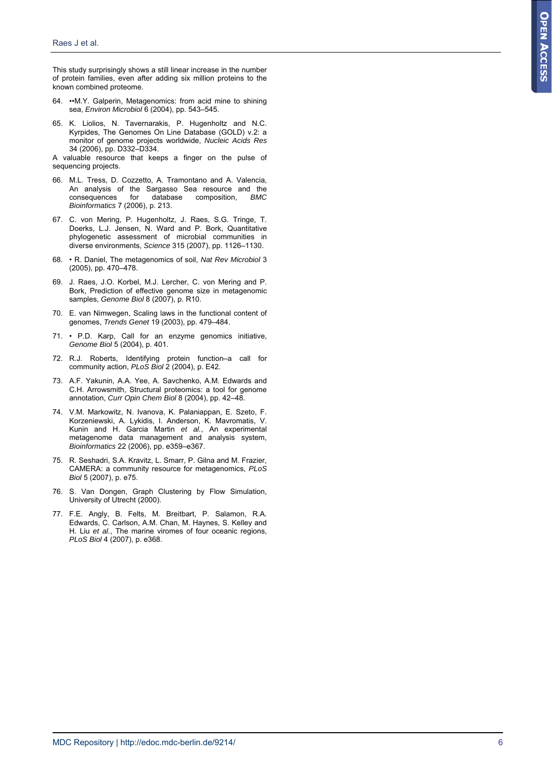This study surprisingly shows a still linear increase in the number of protein families, even after adding six million proteins to the known combined proteome.

- 64. ••M.Y. Galperin, Metagenomics: from acid mine to shining sea, *Environ Microbiol* 6 (2004), pp. 543–545.
- 65. K. Liolios, N. Tavernarakis, P. Hugenholtz and N.C. Kyrpides, The Genomes On Line Database (GOLD) v.2: a monitor of genome projects worldwide, *Nucleic Acids Res* 34 (2006), pp. D332–D334.

A valuable resource that keeps a finger on the pulse of sequencing projects.

- 66. M.L. Tress, D. Cozzetto, A. Tramontano and A. Valencia, An analysis of the Sargasso Sea resource and the consequences for database composition, *BMC Bioinformatics* 7 (2006), p. 213.
- 67. C. von Mering, P. Hugenholtz, J. Raes, S.G. Tringe, T. Doerks, L.J. Jensen, N. Ward and P. Bork, Quantitative phylogenetic assessment of microbial communities in diverse environments, *Science* 315 (2007), pp. 1126–1130.
- 68. R. Daniel, The metagenomics of soil, *Nat Rev Microbiol* 3 (2005), pp. 470–478.
- 69. J. Raes, J.O. Korbel, M.J. Lercher, C. von Mering and P. Bork, Prediction of effective genome size in metagenomic samples, *Genome Biol* 8 (2007), p. R10.
- 70. E. van Nimwegen, Scaling laws in the functional content of genomes, *Trends Genet* 19 (2003), pp. 479–484.
- 71. P.D. Karp, Call for an enzyme genomics initiative, *Genome Biol* 5 (2004), p. 401.
- 72. R.J. Roberts, Identifying protein function–a call for community action, *PLoS Biol* 2 (2004), p. E42.
- 73. A.F. Yakunin, A.A. Yee, A. Savchenko, A.M. Edwards and C.H. Arrowsmith, Structural proteomics: a tool for genome annotation, *Curr Opin Chem Biol* 8 (2004), pp. 42–48.
- 74. V.M. Markowitz, N. Ivanova, K. Palaniappan, E. Szeto, F. Korzeniewski, A. Lykidis, I. Anderson, K. Mavromatis, V. Kunin and H. Garcia Martin *et al.*, An experimental metagenome data management and analysis system, *Bioinformatics* 22 (2006), pp. e359–e367.
- 75. R. Seshadri, S.A. Kravitz, L. Smarr, P. Gilna and M. Frazier, CAMERA: a community resource for metagenomics, *PLoS Biol* 5 (2007), p. e75.
- 76. S. Van Dongen, Graph Clustering by Flow Simulation, University of Utrecht (2000).
- 77. F.E. Angly, B. Felts, M. Breitbart, P. Salamon, R.A. Edwards, C. Carlson, A.M. Chan, M. Haynes, S. Kelley and H. Liu *et al.*, The marine viromes of four oceanic regions, *PLoS Biol* 4 (2007), p. e368.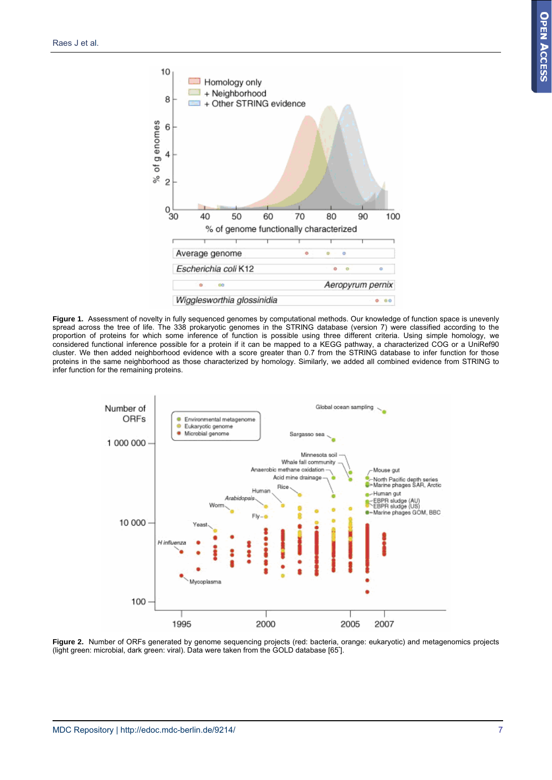

**Figure 1.** Assessment of novelty in fully sequenced genomes by computational methods. Our knowledge of function space is unevenly spread across the tree of life. The 338 prokaryotic genomes in the STRING database (version 7) were classified according to the proportion of proteins for which some inference of function is possible using three different criteria. Using simple homology, we considered functional inference possible for a protein if it can be mapped to a KEGG pathway, a characterized COG or a UniRef90 cluster. We then added neighborhood evidence with a score greater than 0.7 from the STRING database to infer function for those proteins in the same neighborhood as those characterized by homology. Similarly, we added all combined evidence from STRING to infer function for the remaining proteins.



**Figure 2.** Number of ORFs generated by genome sequencing projects (red: bacteria, orange: eukaryotic) and metagenomics projects (light green: microbial, dark green: viral). Data were taken from the GOLD database [65• ].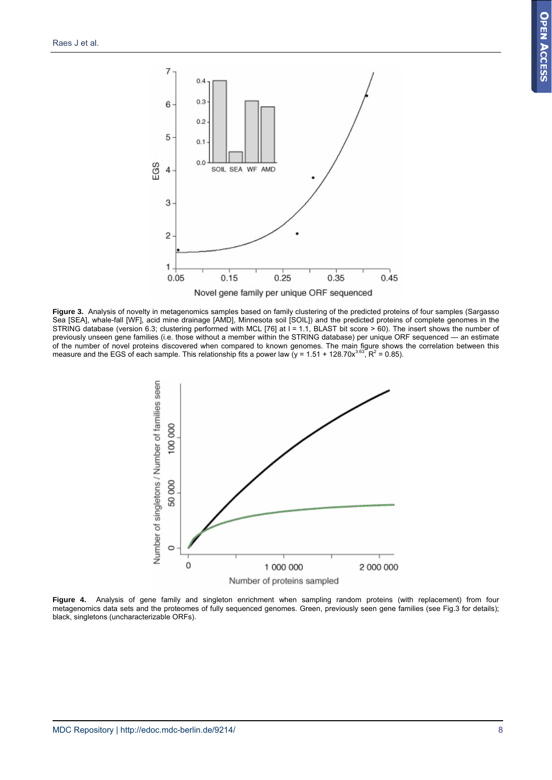

**Figure 3.** Analysis of novelty in metagenomics samples based on family clustering of the predicted proteins of four samples (Sargasso Sea [SEA], whale-fall [WF], acid mine drainage [AMD], Minnesota soil [SOIL]) and the predicted proteins of complete genomes in the STRING database (version 6.3; clustering performed with MCL [76] at I = 1.1, BLAST bit score > 60). The insert shows the number of previously unseen gene families (i.e. those without a member within the STRING database) per unique ORF sequenced — an estimate of the number of novel proteins discovered when compared to known genomes. The main figure shows the correlation between this<br>measure and the EGS of each sample. This relationship fits a power law (y = 1.51 + 128.70x<sup>3.63</sup>



**Figure 4.** Analysis of gene family and singleton enrichment when sampling random proteins (with replacement) from four metagenomics data sets and the proteomes of fully sequenced genomes. Green, previously seen gene families (see Fig.3 for details); black, singletons (uncharacterizable ORFs).